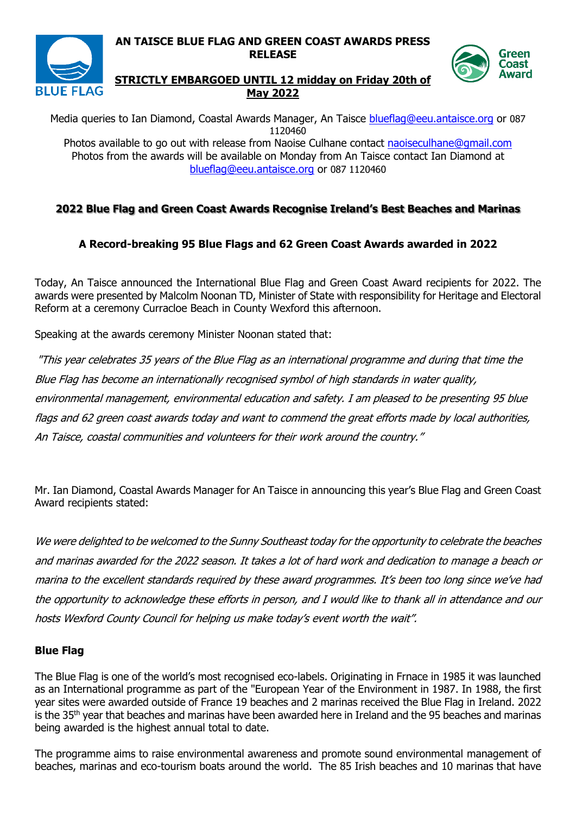

# Green **Coast** Award

#### **STRICTLY EMBARGOED UNTIL 12 midday on Friday 20th of May 2022**

**RELEASE**

Media queries to Ian Diamond, Coastal Awards Manager, An Taisce [blueflag@eeu.antaisce.org](mailto:blueflag@eeu.antaisce.org) or 087 1120460 Photos available to go out with release from Naoise Culhane contact [naoiseculhane@gmail.com](mailto:naoiseculhane@gmail.com) Photos from the awards will be available on Monday from An Taisce contact Ian Diamond at [blueflag@eeu.antaisce.org](mailto:blueflag@eeu.antaisce.org) or 087 1120460

### **2022 Blue Flag and Green Coast Awards Recognise Ireland's Best Beaches and Marinas**

### **A Record-breaking 95 Blue Flags and 62 Green Coast Awards awarded in 2022**

Today, An Taisce announced the International Blue Flag and Green Coast Award recipients for 2022. The awards were presented by Malcolm Noonan TD, Minister of State with responsibility for Heritage and Electoral Reform at a ceremony Curracloe Beach in County Wexford this afternoon.

Speaking at the awards ceremony Minister Noonan stated that:

"This year celebrates 35 years of the Blue Flag as an international programme and during that time the Blue Flag has become an internationally recognised symbol of high standards in water quality, environmental management, environmental education and safety. I am pleased to be presenting 95 blue flags and 62 green coast awards today and want to commend the great efforts made by local authorities, An Taisce, coastal communities and volunteers for their work around the country."

Mr. Ian Diamond, Coastal Awards Manager for An Taisce in announcing this year's Blue Flag and Green Coast Award recipients stated:

We were delighted to be welcomed to the Sunny Southeast today for the opportunity to celebrate the beaches and marinas awarded for the 2022 season. It takes a lot of hard work and dedication to manage a beach or marina to the excellent standards required by these award programmes. It's been too long since we've had the opportunity to acknowledge these efforts in person, and I would like to thank all in attendance and our hosts Wexford County Council for helping us make today's event worth the wait".

### **Blue Flag**

The Blue Flag is one of the world's most recognised eco-labels. Originating in Frnace in 1985 it was launched as an International programme as part of the "European Year of the Environment in 1987. In 1988, the first year sites were awarded outside of France 19 beaches and 2 marinas received the Blue Flag in Ireland. 2022 is the 35<sup>th</sup> year that beaches and marinas have been awarded here in Ireland and the 95 beaches and marinas being awarded is the highest annual total to date.

The programme aims to raise environmental awareness and promote sound environmental management of beaches, marinas and eco-tourism boats around the world. The 85 Irish beaches and 10 marinas that have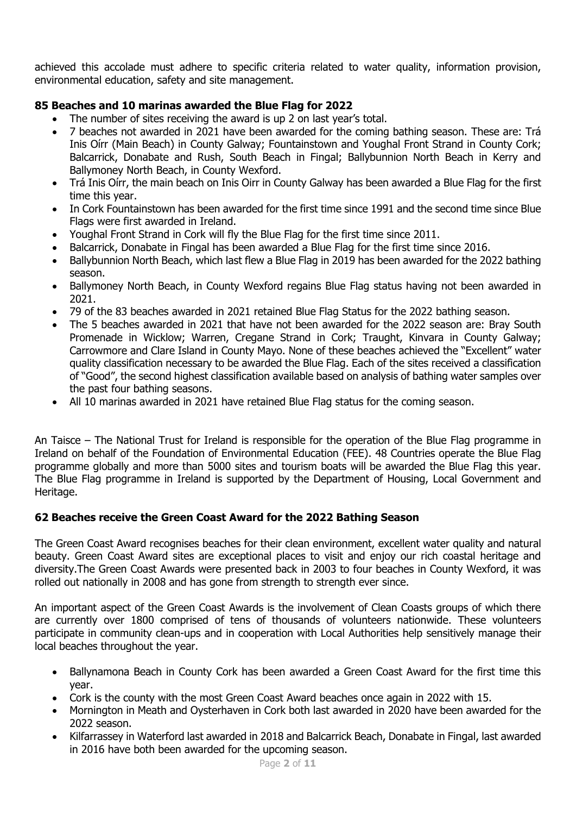achieved this accolade must adhere to specific criteria related to water quality, information provision, environmental education, safety and site management.

### **85 Beaches and 10 marinas awarded the Blue Flag for 2022**

- The number of sites receiving the award is up 2 on last year's total.
- 7 beaches not awarded in 2021 have been awarded for the coming bathing season. These are: Trá Inis Oírr (Main Beach) in County Galway; Fountainstown and Youghal Front Strand in County Cork; Balcarrick, Donabate and Rush, South Beach in Fingal; Ballybunnion North Beach in Kerry and Ballymoney North Beach, in County Wexford.
- Trá Inis Oírr, the main beach on Inis Oirr in County Galway has been awarded a Blue Flag for the first time this year.
- In Cork Fountainstown has been awarded for the first time since 1991 and the second time since Blue Flags were first awarded in Ireland.
- Youghal Front Strand in Cork will fly the Blue Flag for the first time since 2011.
- Balcarrick, Donabate in Fingal has been awarded a Blue Flag for the first time since 2016.
- Ballybunnion North Beach, which last flew a Blue Flag in 2019 has been awarded for the 2022 bathing season.
- Ballymoney North Beach, in County Wexford regains Blue Flag status having not been awarded in 2021.
- 79 of the 83 beaches awarded in 2021 retained Blue Flag Status for the 2022 bathing season.
- The 5 beaches awarded in 2021 that have not been awarded for the 2022 season are: Bray South Promenade in Wicklow; Warren, Cregane Strand in Cork; Traught, Kinvara in County Galway; Carrowmore and Clare Island in County Mayo. None of these beaches achieved the "Excellent" water quality classification necessary to be awarded the Blue Flag. Each of the sites received a classification of "Good", the second highest classification available based on analysis of bathing water samples over the past four bathing seasons.
- All 10 marinas awarded in 2021 have retained Blue Flag status for the coming season.

An Taisce – The National Trust for Ireland is responsible for the operation of the Blue Flag programme in Ireland on behalf of the Foundation of Environmental Education (FEE). 48 Countries operate the Blue Flag programme globally and more than 5000 sites and tourism boats will be awarded the Blue Flag this year. The Blue Flag programme in Ireland is supported by the Department of Housing, Local Government and Heritage.

### **62 Beaches receive the Green Coast Award for the 2022 Bathing Season**

The Green Coast Award recognises beaches for their clean environment, excellent water quality and natural beauty. Green Coast Award sites are exceptional places to visit and enjoy our rich coastal heritage and diversity.The Green Coast Awards were presented back in 2003 to four beaches in County Wexford, it was rolled out nationally in 2008 and has gone from strength to strength ever since.

An important aspect of the Green Coast Awards is the involvement of Clean Coasts groups of which there are currently over 1800 comprised of tens of thousands of volunteers nationwide. These volunteers participate in community clean-ups and in cooperation with Local Authorities help sensitively manage their local beaches throughout the year.

- Ballynamona Beach in County Cork has been awarded a Green Coast Award for the first time this year.
- Cork is the county with the most Green Coast Award beaches once again in 2022 with 15.
- Mornington in Meath and Oysterhaven in Cork both last awarded in 2020 have been awarded for the 2022 season.
- Kilfarrassey in Waterford last awarded in 2018 and Balcarrick Beach, Donabate in Fingal, last awarded in 2016 have both been awarded for the upcoming season.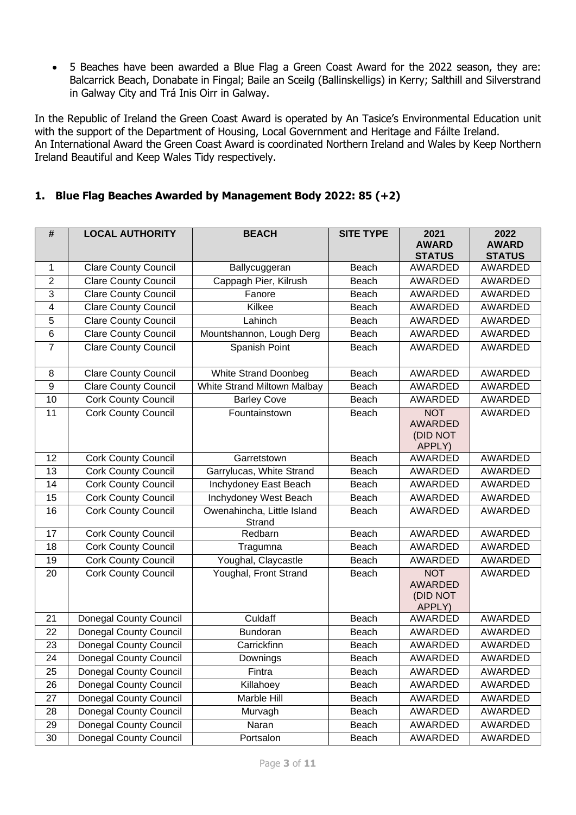• 5 Beaches have been awarded a Blue Flag a Green Coast Award for the 2022 season, they are: Balcarrick Beach, Donabate in Fingal; Baile an Sceilg (Ballinskelligs) in Kerry; Salthill and Silverstrand in Galway City and Trá Inis Oirr in Galway.

In the Republic of Ireland the Green Coast Award is operated by An Tasice's Environmental Education unit with the support of the Department of Housing, Local Government and Heritage and Fáilte Ireland. An International Award the Green Coast Award is coordinated Northern Ireland and Wales by Keep Northern Ireland Beautiful and Keep Wales Tidy respectively.

### **1. Blue Flag Beaches Awarded by Management Body 2022: 85 (+2)**

| #               | <b>LOCAL AUTHORITY</b>        | <b>BEACH</b>                         | <b>SITE TYPE</b> | 2021<br><b>AWARD</b>                               | 2022<br><b>AWARD</b> |
|-----------------|-------------------------------|--------------------------------------|------------------|----------------------------------------------------|----------------------|
|                 |                               |                                      |                  | <b>STATUS</b>                                      | <b>STATUS</b>        |
| $\mathbf{1}$    | <b>Clare County Council</b>   | Ballycuggeran                        | Beach            | AWARDED                                            | <b>AWARDED</b>       |
| $\overline{2}$  | <b>Clare County Council</b>   | Cappagh Pier, Kilrush                | Beach            | <b>AWARDED</b>                                     | AWARDED              |
| 3               | Clare County Council          | Fanore                               | Beach            | AWARDED                                            | AWARDED              |
| 4               | <b>Clare County Council</b>   | Kilkee                               | Beach            | AWARDED                                            | AWARDED              |
| 5               | <b>Clare County Council</b>   | Lahinch                              | Beach            | <b>AWARDED</b>                                     | AWARDED              |
| $6\phantom{1}6$ | <b>Clare County Council</b>   | Mountshannon, Lough Derg             | Beach            | AWARDED                                            | AWARDED              |
| $\overline{7}$  | <b>Clare County Council</b>   | Spanish Point                        | Beach            | AWARDED                                            | AWARDED              |
| 8               | <b>Clare County Council</b>   | <b>White Strand Doonbeg</b>          | Beach            | <b>AWARDED</b>                                     | AWARDED              |
| $\overline{9}$  | <b>Clare County Council</b>   | White Strand Miltown Malbay          | Beach            | AWARDED                                            | AWARDED              |
| 10              | <b>Cork County Council</b>    | <b>Barley Cove</b>                   | Beach            | <b>AWARDED</b>                                     | AWARDED              |
| 11              | <b>Cork County Council</b>    | Fountainstown                        | Beach            | <b>NOT</b><br><b>AWARDED</b><br>(DID NOT<br>APPLY) | AWARDED              |
| 12              | <b>Cork County Council</b>    | Garretstown                          | Beach            | AWARDED                                            | AWARDED              |
| 13              | <b>Cork County Council</b>    | Garrylucas, White Strand             | Beach            | AWARDED                                            | <b>AWARDED</b>       |
| 14              | <b>Cork County Council</b>    | Inchydoney East Beach                | Beach            | AWARDED                                            | <b>AWARDED</b>       |
| 15              | <b>Cork County Council</b>    | Inchydoney West Beach                | Beach            | AWARDED                                            | AWARDED              |
| 16              | <b>Cork County Council</b>    | Owenahincha, Little Island<br>Strand | Beach            | AWARDED                                            | AWARDED              |
| 17              | <b>Cork County Council</b>    | Redbarn                              | Beach            | AWARDED                                            | AWARDED              |
| 18              | <b>Cork County Council</b>    | Tragumna                             | Beach            | <b>AWARDED</b>                                     | AWARDED              |
| 19              | Cork County Council           | Youghal, Claycastle                  | Beach            | AWARDED                                            | AWARDED              |
| 20              | Cork County Council           | Youghal, Front Strand                | Beach            | <b>NOT</b><br><b>AWARDED</b><br>(DID NOT<br>APPLY) | AWARDED              |
| 21              | <b>Donegal County Council</b> | Culdaff                              | Beach            | AWARDED                                            | AWARDED              |
| 22              | <b>Donegal County Council</b> | Bundoran                             | Beach            | <b>AWARDED</b>                                     | AWARDED              |
| 23              | <b>Donegal County Council</b> | Carrickfinn                          | Beach            | AWARDED                                            | <b>AWARDED</b>       |
| 24              | Donegal County Council        | Downings                             | Beach            | AWARDED                                            | AWARDED              |
| 25              | Donegal County Council        | Fintra                               | Beach            | AWARDED                                            | AWARDED              |
| 26              | <b>Donegal County Council</b> | Killahoey                            | Beach            | AWARDED                                            | AWARDED              |
| 27              | Donegal County Council        | Marble Hill                          | Beach            | AWARDED                                            | AWARDED              |
| 28              | Donegal County Council        | Murvagh                              | Beach            | AWARDED                                            | AWARDED              |
| 29              | Donegal County Council        | Naran                                | Beach            | AWARDED                                            | AWARDED              |
| 30              | <b>Donegal County Council</b> | Portsalon                            | Beach            | AWARDED                                            | AWARDED              |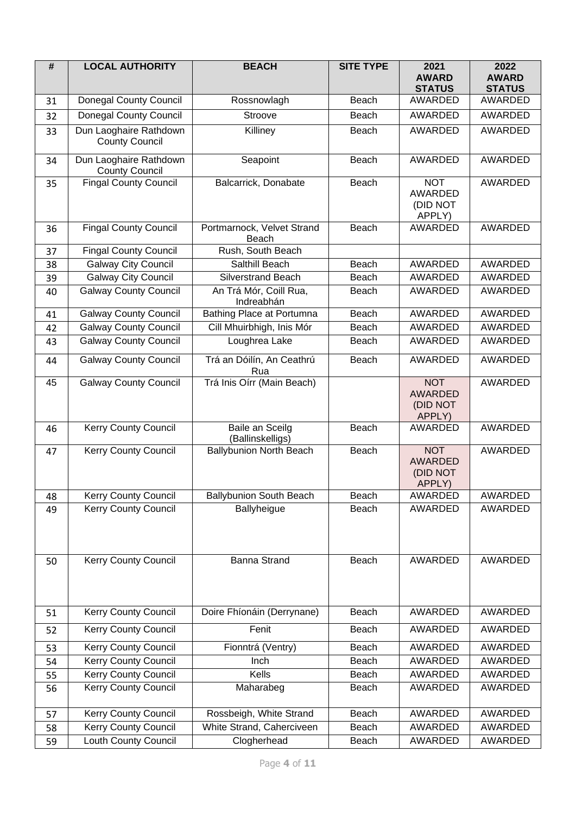| #  | <b>LOCAL AUTHORITY</b>                          | <b>BEACH</b>                         | <b>SITE TYPE</b> | 2021<br><b>AWARD</b><br><b>STATUS</b>              | 2022<br><b>AWARD</b><br><b>STATUS</b> |
|----|-------------------------------------------------|--------------------------------------|------------------|----------------------------------------------------|---------------------------------------|
| 31 | <b>Donegal County Council</b>                   | Rossnowlagh                          | Beach            | <b>AWARDED</b>                                     | <b>AWARDED</b>                        |
| 32 | <b>Donegal County Council</b>                   | Stroove                              | Beach            | AWARDED                                            | <b>AWARDED</b>                        |
| 33 | Dun Laoghaire Rathdown<br><b>County Council</b> | Killiney                             | Beach            | <b>AWARDED</b>                                     | <b>AWARDED</b>                        |
| 34 | Dun Laoghaire Rathdown<br><b>County Council</b> | Seapoint                             | Beach            | <b>AWARDED</b>                                     | <b>AWARDED</b>                        |
| 35 | <b>Fingal County Council</b>                    | Balcarrick, Donabate                 | Beach            | <b>NOT</b><br><b>AWARDED</b><br>(DID NOT<br>APPLY) | AWARDED                               |
| 36 | <b>Fingal County Council</b>                    | Portmarnock, Velvet Strand<br>Beach  | Beach            | <b>AWARDED</b>                                     | <b>AWARDED</b>                        |
| 37 | <b>Fingal County Council</b>                    | Rush, South Beach                    |                  |                                                    |                                       |
| 38 | <b>Galway City Council</b>                      | Salthill Beach                       | Beach            | <b>AWARDED</b>                                     | AWARDED                               |
| 39 | <b>Galway City Council</b>                      | <b>Silverstrand Beach</b>            | Beach            | <b>AWARDED</b>                                     | <b>AWARDED</b>                        |
| 40 | <b>Galway County Council</b>                    | An Trá Mór, Coill Rua,<br>Indreabhán | Beach            | AWARDED                                            | AWARDED                               |
| 41 | <b>Galway County Council</b>                    | Bathing Place at Portumna            | Beach            | AWARDED                                            | <b>AWARDED</b>                        |
| 42 | <b>Galway County Council</b>                    | Cill Mhuirbhigh, Inis Mór            | Beach            | AWARDED                                            | <b>AWARDED</b>                        |
| 43 | <b>Galway County Council</b>                    | Loughrea Lake                        | Beach            | <b>AWARDED</b>                                     | <b>AWARDED</b>                        |
| 44 | <b>Galway County Council</b>                    | Trá an Dóilín, An Ceathrú<br>Rua     | Beach            | <b>AWARDED</b>                                     | AWARDED                               |
| 45 | <b>Galway County Council</b>                    | Trá Inis Oírr (Main Beach)           |                  | <b>NOT</b><br><b>AWARDED</b><br>(DID NOT<br>APPLY) | AWARDED                               |
| 46 | <b>Kerry County Council</b>                     | Baile an Sceilg<br>(Ballinskelligs)  | Beach            | <b>AWARDED</b>                                     | <b>AWARDED</b>                        |
| 47 | <b>Kerry County Council</b>                     | <b>Ballybunion North Beach</b>       | Beach            | <b>NOT</b><br><b>AWARDED</b><br>(DID NOT<br>APPLY) | AWARDED                               |
| 48 | Kerry County Council                            | <b>Ballybunion South Beach</b>       | Beach            | AWARDED                                            | <b>AWARDED</b>                        |
| 49 | Kerry County Council                            | Ballyheigue                          | Beach            | AWARDED                                            | AWARDED                               |
| 50 | <b>Kerry County Council</b>                     | <b>Banna Strand</b>                  | Beach            | AWARDED                                            | AWARDED                               |
| 51 | <b>Kerry County Council</b>                     | Doire Fhíonáin (Derrynane)           | Beach            | <b>AWARDED</b>                                     | AWARDED                               |
| 52 | <b>Kerry County Council</b>                     | Fenit                                | Beach            | AWARDED                                            | AWARDED                               |
| 53 | Kerry County Council                            | Fionntrá (Ventry)                    | Beach            | AWARDED                                            | AWARDED                               |
| 54 | <b>Kerry County Council</b>                     | Inch                                 | Beach            | AWARDED                                            | <b>AWARDED</b>                        |
| 55 | Kerry County Council                            | Kells                                | Beach            | AWARDED                                            | AWARDED                               |
| 56 | <b>Kerry County Council</b>                     | Maharabeg                            | Beach            | <b>AWARDED</b>                                     | AWARDED                               |
| 57 | Kerry County Council                            | Rossbeigh, White Strand              | Beach            | AWARDED                                            | AWARDED                               |
| 58 | <b>Kerry County Council</b>                     | White Strand, Caherciveen            | Beach            | AWARDED                                            | AWARDED                               |
| 59 | Louth County Council                            | Clogherhead                          | Beach            | AWARDED                                            | AWARDED                               |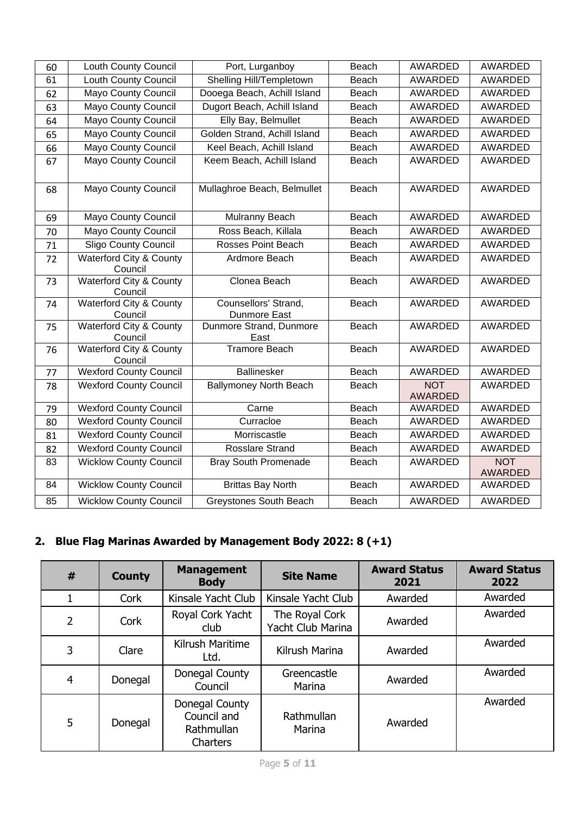| 60 | Louth County Council                          | Port, Lurganboy                      | Beach | AWARDED               | <b>AWARDED</b>               |
|----|-----------------------------------------------|--------------------------------------|-------|-----------------------|------------------------------|
| 61 | <b>Louth County Council</b>                   | Shelling Hill/Templetown             | Beach | <b>AWARDED</b>        | <b>AWARDED</b>               |
| 62 | <b>Mayo County Council</b>                    | Dooega Beach, Achill Island          | Beach | AWARDED               | AWARDED                      |
| 63 | <b>Mayo County Council</b>                    | Dugort Beach, Achill Island          | Beach | <b>AWARDED</b>        | <b>AWARDED</b>               |
| 64 | <b>Mayo County Council</b>                    | Elly Bay, Belmullet                  | Beach | <b>AWARDED</b>        | <b>AWARDED</b>               |
| 65 | <b>Mayo County Council</b>                    | Golden Strand, Achill Island         | Beach | AWARDED               | <b>AWARDED</b>               |
| 66 | <b>Mayo County Council</b>                    | Keel Beach, Achill Island            | Beach | AWARDED               | AWARDED                      |
| 67 | <b>Mayo County Council</b>                    | Keem Beach, Achill Island            | Beach | <b>AWARDED</b>        | <b>AWARDED</b>               |
| 68 | <b>Mayo County Council</b>                    | Mullaghroe Beach, Belmullet          | Beach | AWARDED               | <b>AWARDED</b>               |
| 69 | <b>Mayo County Council</b>                    | Mulranny Beach                       | Beach | AWARDED               | AWARDED                      |
| 70 | <b>Mayo County Council</b>                    | Ross Beach, Killala                  | Beach | <b>AWARDED</b>        | AWARDED                      |
| 71 | <b>Sligo County Council</b>                   | <b>Rosses Point Beach</b>            | Beach | AWARDED               | <b>AWARDED</b>               |
| 72 | <b>Waterford City &amp; County</b><br>Council | Ardmore Beach                        | Beach | AWARDED               | <b>AWARDED</b>               |
| 73 | <b>Waterford City &amp; County</b><br>Council | Clonea Beach                         | Beach | AWARDED               | <b>AWARDED</b>               |
| 74 | <b>Waterford City &amp; County</b><br>Council | Counsellors' Strand,<br>Dunmore East | Beach | AWARDED               | AWARDED                      |
| 75 | Waterford City & County<br>Council            | Dunmore Strand, Dunmore<br>East      | Beach | <b>AWARDED</b>        | <b>AWARDED</b>               |
| 76 | Waterford City & County<br>Council            | <b>Tramore Beach</b>                 | Beach | AWARDED               | AWARDED                      |
| 77 | <b>Wexford County Council</b>                 | <b>Ballinesker</b>                   | Beach | AWARDED               | <b>AWARDED</b>               |
| 78 | <b>Wexford County Council</b>                 | <b>Ballymoney North Beach</b>        | Beach | <b>NOT</b><br>AWARDED | <b>AWARDED</b>               |
| 79 | <b>Wexford County Council</b>                 | Carne                                | Beach | AWARDED               | <b>AWARDED</b>               |
| 80 | <b>Wexford County Council</b>                 | Curracloe                            | Beach | AWARDED               | <b>AWARDED</b>               |
| 81 | <b>Wexford County Council</b>                 | Morriscastle                         | Beach | <b>AWARDED</b>        | <b>AWARDED</b>               |
| 82 | <b>Wexford County Council</b>                 | <b>Rosslare Strand</b>               | Beach | <b>AWARDED</b>        | <b>AWARDED</b>               |
| 83 | <b>Wicklow County Council</b>                 | <b>Bray South Promenade</b>          | Beach | AWARDED               | <b>NOT</b><br><b>AWARDED</b> |
| 84 | <b>Wicklow County Council</b>                 | <b>Brittas Bay North</b>             | Beach | AWARDED               | AWARDED                      |
| 85 | <b>Wicklow County Council</b>                 | <b>Greystones South Beach</b>        | Beach | AWARDED               | <b>AWARDED</b>               |

# **2. Blue Flag Marinas Awarded by Management Body 2022: 8 (+1)**

| # | <b>County</b> | <b>Management</b><br><b>Body</b>                        | <b>Site Name</b>                    | <b>Award Status</b><br>2021 | <b>Award Status</b><br>2022 |
|---|---------------|---------------------------------------------------------|-------------------------------------|-----------------------------|-----------------------------|
|   | Cork          | Kinsale Yacht Club                                      | Kinsale Yacht Club                  | Awarded                     | Awarded                     |
| 2 | Cork          | Royal Cork Yacht<br>club                                | The Royal Cork<br>Yacht Club Marina | Awarded                     | Awarded                     |
| 3 | Clare         | Kilrush Maritime<br>Ltd.                                | Kilrush Marina                      | Awarded                     | Awarded                     |
| 4 | Donegal       | Donegal County<br>Council                               | Greencastle<br>Marina               | Awarded                     | Awarded                     |
| 5 | Donegal       | Donegal County<br>Council and<br>Rathmullan<br>Charters | Rathmullan<br>Marina                | Awarded                     | Awarded                     |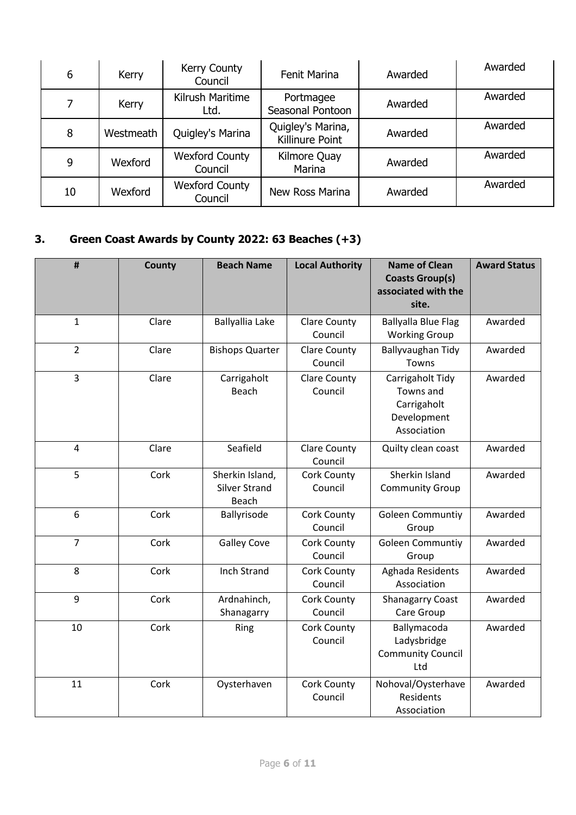| 6  | Kerry     | Kerry County<br>Council          | <b>Fenit Marina</b>                  | Awarded | Awarded |
|----|-----------|----------------------------------|--------------------------------------|---------|---------|
| 7  | Kerry     | Kilrush Maritime<br>Ltd.         | Portmagee<br>Seasonal Pontoon        | Awarded | Awarded |
| 8  | Westmeath | Quigley's Marina                 | Quigley's Marina,<br>Killinure Point | Awarded | Awarded |
| 9  | Wexford   | <b>Wexford County</b><br>Council | Kilmore Quay<br>Marina               | Awarded | Awarded |
| 10 | Wexford   | <b>Wexford County</b><br>Council | New Ross Marina                      | Awarded | Awarded |

# **3. Green Coast Awards by County 2022: 63 Beaches (+3)**

| $\pmb{\sharp}$ | County | <b>Beach Name</b>                                | <b>Local Authority</b>         | <b>Name of Clean</b><br><b>Coasts Group(s)</b><br>associated with the<br>site. | <b>Award Status</b> |
|----------------|--------|--------------------------------------------------|--------------------------------|--------------------------------------------------------------------------------|---------------------|
| $\mathbf{1}$   | Clare  | Ballyallia Lake                                  | <b>Clare County</b><br>Council | <b>Ballyalla Blue Flag</b><br><b>Working Group</b>                             | Awarded             |
| $\overline{2}$ | Clare  | <b>Bishops Quarter</b>                           | <b>Clare County</b><br>Council | Ballyvaughan Tidy<br>Towns                                                     | Awarded             |
| $\overline{3}$ | Clare  | Carrigaholt<br><b>Beach</b>                      | <b>Clare County</b><br>Council | Carrigaholt Tidy<br>Towns and<br>Carrigaholt<br>Development<br>Association     | Awarded             |
| $\overline{4}$ | Clare  | Seafield                                         | <b>Clare County</b><br>Council | Quilty clean coast                                                             | Awarded             |
| 5              | Cork   | Sherkin Island,<br><b>Silver Strand</b><br>Beach | Cork County<br>Council         | Sherkin Island<br><b>Community Group</b>                                       | Awarded             |
| 6              | Cork   | Ballyrisode                                      | Cork County<br>Council         | <b>Goleen Communtiy</b><br>Group                                               | Awarded             |
| $\overline{7}$ | Cork   | <b>Galley Cove</b>                               | Cork County<br>Council         | <b>Goleen Communtiy</b><br>Group                                               | Awarded             |
| 8              | Cork   | Inch Strand                                      | Cork County<br>Council         | Aghada Residents<br>Association                                                | Awarded             |
| 9              | Cork   | Ardnahinch,<br>Shanagarry                        | Cork County<br>Council         | <b>Shanagarry Coast</b><br>Care Group                                          | Awarded             |
| 10             | Cork   | Ring                                             | Cork County<br>Council         | Ballymacoda<br>Ladysbridge<br><b>Community Council</b><br>Ltd                  | Awarded             |
| 11             | Cork   | Oysterhaven                                      | Cork County<br>Council         | Nohoval/Oysterhave<br>Residents<br>Association                                 | Awarded             |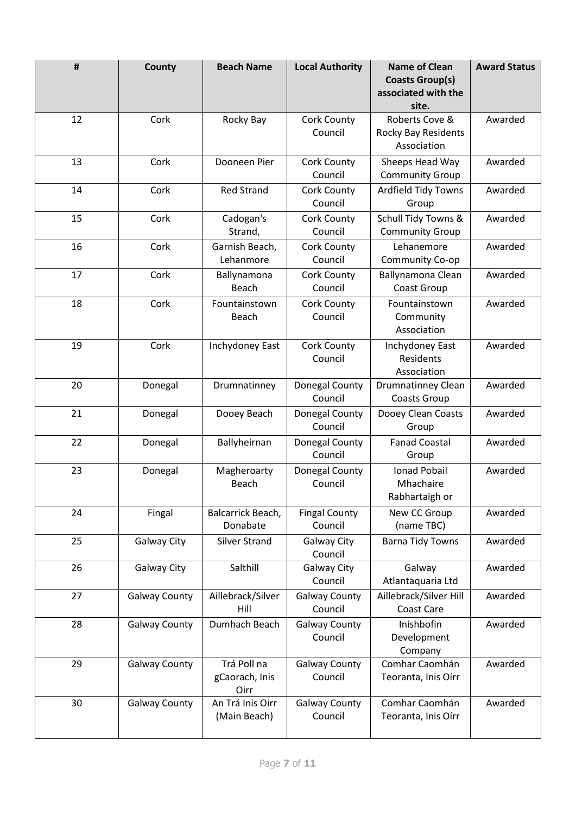| #  | County               | <b>Beach Name</b>                     | <b>Local Authority</b>          | <b>Name of Clean</b><br><b>Coasts Group(s)</b><br>associated with the<br>site. | <b>Award Status</b> |
|----|----------------------|---------------------------------------|---------------------------------|--------------------------------------------------------------------------------|---------------------|
| 12 | Cork                 | Rocky Bay                             | Cork County<br>Council          | Roberts Cove &<br>Rocky Bay Residents<br>Association                           | Awarded             |
| 13 | Cork                 | Dooneen Pier                          | Cork County<br>Council          | Sheeps Head Way<br><b>Community Group</b>                                      | Awarded             |
| 14 | Cork                 | <b>Red Strand</b>                     | Cork County<br>Council          | <b>Ardfield Tidy Towns</b><br>Group                                            | Awarded             |
| 15 | Cork                 | Cadogan's<br>Strand,                  | Cork County<br>Council          | Schull Tidy Towns &<br><b>Community Group</b>                                  | Awarded             |
| 16 | Cork                 | Garnish Beach,<br>Lehanmore           | Cork County<br>Council          | Lehanemore<br>Community Co-op                                                  | Awarded             |
| 17 | Cork                 | Ballynamona<br>Beach                  | Cork County<br>Council          | Ballynamona Clean<br>Coast Group                                               | Awarded             |
| 18 | Cork                 | Fountainstown<br>Beach                | Cork County<br>Council          | Fountainstown<br>Community<br>Association                                      | Awarded             |
| 19 | Cork                 | Inchydoney East                       | Cork County<br>Council          | Inchydoney East<br>Residents<br>Association                                    | Awarded             |
| 20 | Donegal              | Drumnatinney                          | Donegal County<br>Council       | <b>Drumnatinney Clean</b><br>Coasts Group                                      | Awarded             |
| 21 | Donegal              | Dooey Beach                           | Donegal County<br>Council       | Dooey Clean Coasts<br>Group                                                    | Awarded             |
| 22 | Donegal              | Ballyheirnan                          | Donegal County<br>Council       | <b>Fanad Coastal</b><br>Group                                                  | Awarded             |
| 23 | Donegal              | Magheroarty<br>Beach                  | Donegal County<br>Council       | <b>Ionad Pobail</b><br>Mhachaire<br>Rabhartaigh or                             | Awarded             |
| 24 | Fingal               | Balcarrick Beach,<br>Donabate         | <b>Fingal County</b><br>Council | New CC Group<br>(name TBC)                                                     | Awarded             |
| 25 | Galway City          | <b>Silver Strand</b>                  | Galway City<br>Council          | <b>Barna Tidy Towns</b>                                                        | Awarded             |
| 26 | Galway City          | Salthill                              | Galway City<br>Council          | Galway<br>Atlantaquaria Ltd                                                    | Awarded             |
| 27 | <b>Galway County</b> | Aillebrack/Silver<br>Hill             | <b>Galway County</b><br>Council | Aillebrack/Silver Hill<br>Coast Care                                           | Awarded             |
| 28 | <b>Galway County</b> | Dumhach Beach                         | <b>Galway County</b><br>Council | Inishbofin<br>Development<br>Company                                           | Awarded             |
| 29 | <b>Galway County</b> | Trá Poll na<br>gCaorach, Inis<br>Oirr | <b>Galway County</b><br>Council | Comhar Caomhán<br>Teoranta, Inis Oírr                                          | Awarded             |
| 30 | <b>Galway County</b> | An Trá Inis Oirr<br>(Main Beach)      | <b>Galway County</b><br>Council | Comhar Caomhán<br>Teoranta, Inis Oírr                                          | Awarded             |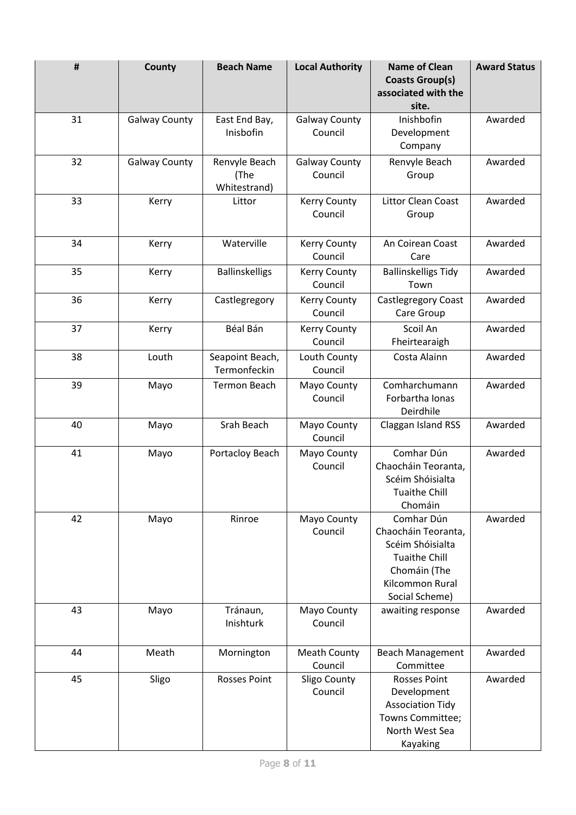| #  | County               | <b>Beach Name</b>                     | <b>Local Authority</b>          | <b>Name of Clean</b><br><b>Coasts Group(s)</b><br>associated with the<br>site.                                                     | <b>Award Status</b> |
|----|----------------------|---------------------------------------|---------------------------------|------------------------------------------------------------------------------------------------------------------------------------|---------------------|
| 31 | <b>Galway County</b> | East End Bay,<br>Inisbofin            | <b>Galway County</b><br>Council | Inishbofin<br>Development<br>Company                                                                                               | Awarded             |
| 32 | <b>Galway County</b> | Renvyle Beach<br>(The<br>Whitestrand) | <b>Galway County</b><br>Council | Renvyle Beach<br>Group                                                                                                             | Awarded             |
| 33 | Kerry                | Littor                                | <b>Kerry County</b><br>Council  | Littor Clean Coast<br>Group                                                                                                        | Awarded             |
| 34 | Kerry                | Waterville                            | <b>Kerry County</b><br>Council  | An Coirean Coast<br>Care                                                                                                           | Awarded             |
| 35 | Kerry                | <b>Ballinskelligs</b>                 | Kerry County<br>Council         | <b>Ballinskelligs Tidy</b><br>Town                                                                                                 | Awarded             |
| 36 | Kerry                | Castlegregory                         | <b>Kerry County</b><br>Council  | Castlegregory Coast<br>Care Group                                                                                                  | Awarded             |
| 37 | Kerry                | Béal Bán                              | <b>Kerry County</b><br>Council  | Scoil An<br>Fheirtearaigh                                                                                                          | Awarded             |
| 38 | Louth                | Seapoint Beach,<br>Termonfeckin       | Louth County<br>Council         | Costa Alainn                                                                                                                       | Awarded             |
| 39 | Mayo                 | <b>Termon Beach</b>                   | Mayo County<br>Council          | Comharchumann<br>Forbartha Ionas<br>Deirdhile                                                                                      | Awarded             |
| 40 | Mayo                 | Srah Beach                            | Mayo County<br>Council          | Claggan Island RSS                                                                                                                 | Awarded             |
| 41 | Mayo                 | Portacloy Beach                       | Mayo County<br>Council          | Comhar Dún<br>Chaocháin Teoranta,<br>Scéim Shóisialta<br><b>Tuaithe Chill</b><br>Chomáin                                           | Awarded             |
| 42 | Mayo                 | Rinroe                                | Mayo County<br>Council          | Comhar Dún<br>Chaocháin Teoranta,<br>Scéim Shóisialta<br><b>Tuaithe Chill</b><br>Chomáin (The<br>Kilcommon Rural<br>Social Scheme) | Awarded             |
| 43 | Mayo                 | Tránaun,<br>Inishturk                 | Mayo County<br>Council          | awaiting response                                                                                                                  | Awarded             |
| 44 | Meath                | Mornington                            | <b>Meath County</b><br>Council  | <b>Beach Management</b><br>Committee                                                                                               | Awarded             |
| 45 | Sligo                | <b>Rosses Point</b>                   | Sligo County<br>Council         | <b>Rosses Point</b><br>Development<br><b>Association Tidy</b><br>Towns Committee;<br>North West Sea<br>Kayaking                    | Awarded             |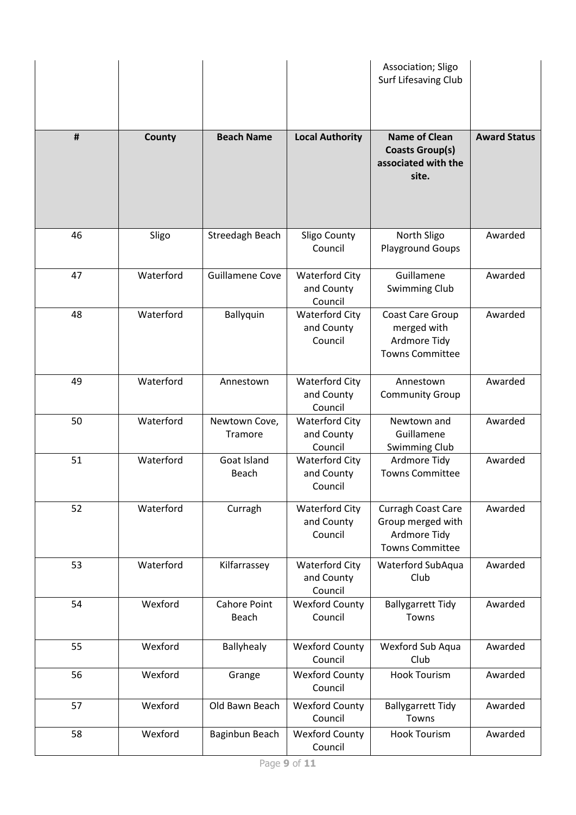|    |           |                              |                                                | Association; Sligo<br>Surf Lifesaving Club                                        |                     |
|----|-----------|------------------------------|------------------------------------------------|-----------------------------------------------------------------------------------|---------------------|
| #  | County    | <b>Beach Name</b>            | <b>Local Authority</b>                         | <b>Name of Clean</b><br><b>Coasts Group(s)</b><br>associated with the<br>site.    | <b>Award Status</b> |
| 46 | Sligo     | Streedagh Beach              | Sligo County<br>Council                        | North Sligo<br><b>Playground Goups</b>                                            | Awarded             |
| 47 | Waterford | <b>Guillamene Cove</b>       | <b>Waterford City</b><br>and County<br>Council | Guillamene<br><b>Swimming Club</b>                                                | Awarded             |
| 48 | Waterford | Ballyquin                    | <b>Waterford City</b><br>and County<br>Council | Coast Care Group<br>merged with<br>Ardmore Tidy<br><b>Towns Committee</b>         | Awarded             |
| 49 | Waterford | Annestown                    | <b>Waterford City</b><br>and County<br>Council | Annestown<br><b>Community Group</b>                                               | Awarded             |
| 50 | Waterford | Newtown Cove,<br>Tramore     | <b>Waterford City</b><br>and County<br>Council | Newtown and<br>Guillamene<br>Swimming Club                                        | Awarded             |
| 51 | Waterford | Goat Island<br>Beach         | <b>Waterford City</b><br>and County<br>Council | Ardmore Tidy<br><b>Towns Committee</b>                                            | Awarded             |
| 52 | Waterford | Curragh                      | <b>Waterford City</b><br>and County<br>Council | Curragh Coast Care<br>Group merged with<br>Ardmore Tidy<br><b>Towns Committee</b> | Awarded             |
| 53 | Waterford | Kilfarrassey                 | <b>Waterford City</b><br>and County<br>Council | Waterford SubAqua<br>Club                                                         | Awarded             |
| 54 | Wexford   | <b>Cahore Point</b><br>Beach | <b>Wexford County</b><br>Council               | <b>Ballygarrett Tidy</b><br>Towns                                                 | Awarded             |
| 55 | Wexford   | Ballyhealy                   | <b>Wexford County</b><br>Council               | Wexford Sub Aqua<br>Club                                                          | Awarded             |
| 56 | Wexford   | Grange                       | <b>Wexford County</b><br>Council               | <b>Hook Tourism</b>                                                               | Awarded             |
| 57 | Wexford   | Old Bawn Beach               | <b>Wexford County</b><br>Council               | <b>Ballygarrett Tidy</b><br>Towns                                                 | Awarded             |
| 58 | Wexford   | Baginbun Beach               | <b>Wexford County</b><br>Council               | <b>Hook Tourism</b>                                                               | Awarded             |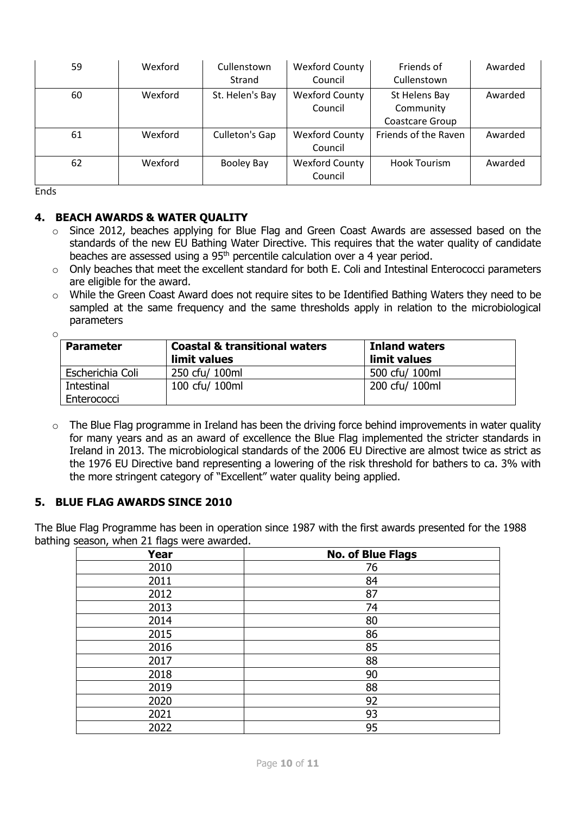| 59 | Wexford | Cullenstown<br>Strand | <b>Wexford County</b><br>Council | Friends of<br>Cullenstown                            | Awarded |
|----|---------|-----------------------|----------------------------------|------------------------------------------------------|---------|
| 60 | Wexford | St. Helen's Bay       | <b>Wexford County</b><br>Council | St Helens Bay<br>Community<br><b>Coastcare Group</b> | Awarded |
| 61 | Wexford | Culleton's Gap        | <b>Wexford County</b><br>Council | Friends of the Raven                                 | Awarded |
| 62 | Wexford | Booley Bay            | <b>Wexford County</b><br>Council | Hook Tourism                                         | Awarded |

Ends

# **4. BEACH AWARDS & WATER QUALITY**

- $\circ$  Since 2012, beaches applying for Blue Flag and Green Coast Awards are assessed based on the standards of the new EU Bathing Water Directive. This requires that the water quality of candidate beaches are assessed using a 95<sup>th</sup> percentile calculation over a 4 year period.
- $\circ$  Only beaches that meet the excellent standard for both E. Coli and Intestinal Enterococci parameters are eligible for the award.
- o While the Green Coast Award does not require sites to be Identified Bathing Waters they need to be sampled at the same frequency and the same thresholds apply in relation to the microbiological parameters

| O |                  |                                                          |                                      |
|---|------------------|----------------------------------------------------------|--------------------------------------|
|   | <b>Parameter</b> | <b>Coastal &amp; transitional waters</b><br>limit values | <b>Inland waters</b><br>limit values |
|   | Escherichia Coli | 250 cfu/ 100ml                                           | 500 cfu/ 100ml                       |
|   | Intestinal       | 100 cfu/ 100ml                                           | 200 cfu/ 100ml                       |
|   | Enterococci      |                                                          |                                      |

o The Blue Flag programme in Ireland has been the driving force behind improvements in water quality for many years and as an award of excellence the Blue Flag implemented the stricter standards in Ireland in 2013. The microbiological standards of the 2006 EU Directive are almost twice as strict as the 1976 EU Directive band representing a lowering of the risk threshold for bathers to ca. 3% with the more stringent category of "Excellent" water quality being applied.

# **5. BLUE FLAG AWARDS SINCE 2010**

The Blue Flag Programme has been in operation since 1987 with the first awards presented for the 1988 bathing season, when 21 flags were awarded.

| <b>Year</b> | <b>No. of Blue Flags</b> |
|-------------|--------------------------|
| 2010        | 76                       |
| 2011        | 84                       |
| 2012        | 87                       |
| 2013        | 74                       |
| 2014        | 80                       |
| 2015        | 86                       |
| 2016        | 85                       |
| 2017        | 88                       |
| 2018        | 90                       |
| 2019        | 88                       |
| 2020        | 92                       |
| 2021        | 93                       |
| 2022        | 95                       |